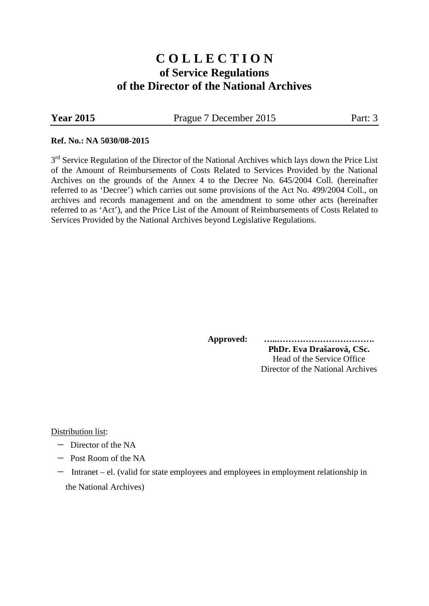# **C O L L E C T I O N of Service Regulations of the Director of the National Archives**

**Year 2015** Prague 7 December 2015 Part: 3

#### **Ref. No.: NA 5030/08-2015**

3<sup>rd</sup> Service Regulation of the Director of the National Archives which lays down the Price List of the Amount of Reimbursements of Costs Related to Services Provided by the National Archives on the grounds of the Annex 4 to the Decree No. 645/2004 Coll. (hereinafter referred to as 'Decree') which carries out some provisions of the Act No. 499/2004 Coll., on archives and records management and on the amendment to some other acts (hereinafter referred to as 'Act'), and the Price List of the Amount of Reimbursements of Costs Related to Services Provided by the National Archives beyond Legislative Regulations.

> **Approved: …..……………………………. PhDr. Eva Drašarová, CSc.** Head of the Service Office Director of the National Archives

#### Distribution list:

- − Director of the NA
- − Post Room of the NA
- − Intranet el. (valid for state employees and employees in employment relationship in the National Archives)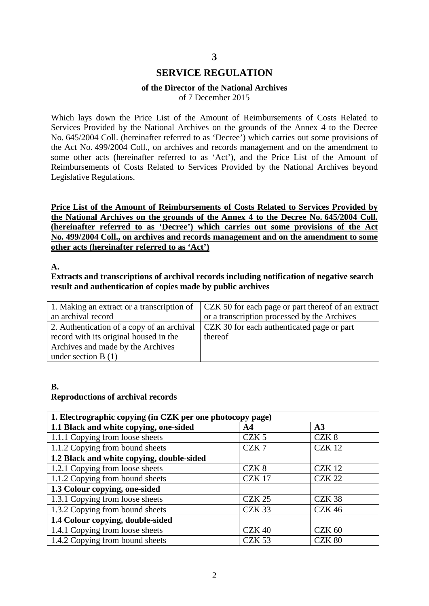## **3**

# **SERVICE REGULATION**

#### **of the Director of the National Archives**

of 7 December 2015

Which lays down the Price List of the Amount of Reimbursements of Costs Related to Services Provided by the National Archives on the grounds of the Annex 4 to the Decree No. 645/2004 Coll. (hereinafter referred to as 'Decree') which carries out some provisions of the Act No. 499/2004 Coll., on archives and records management and on the amendment to some other acts (hereinafter referred to as 'Act'), and the Price List of the Amount of Reimbursements of Costs Related to Services Provided by the National Archives beyond Legislative Regulations.

**Price List of the Amount of Reimbursements of Costs Related to Services Provided by the National Archives on the grounds of the Annex 4 to the Decree No. 645/2004 Coll. (hereinafter referred to as 'Decree') which carries out some provisions of the Act No. 499/2004 Coll., on archives and records management and on the amendment to some other acts (hereinafter referred to as 'Act')**

#### **A.**

#### **Extracts and transcriptions of archival records including notification of negative search result and authentication of copies made by public archives**

| 1. Making an extract or a transcription of | CZK 50 for each page or part thereof of an extract                                      |
|--------------------------------------------|-----------------------------------------------------------------------------------------|
| an archival record                         | or a transcription processed by the Archives                                            |
|                                            | 2. Authentication of a copy of an archival   CZK 30 for each authenticated page or part |
| record with its original housed in the     | thereof                                                                                 |
| Archives and made by the Archives          |                                                                                         |
| under section $B(1)$                       |                                                                                         |

#### **B. Reproductions of archival records**

| 1. Electrographic copying (in CZK per one photocopy page) |                  |                   |
|-----------------------------------------------------------|------------------|-------------------|
| 1.1 Black and white copying, one-sided                    | A <sub>4</sub>   | A3                |
| 1.1.1 Copying from loose sheets                           | CZK <sub>5</sub> | CZK <sub>8</sub>  |
| 1.1.2 Copying from bound sheets                           | CZK7             | <b>CZK 12</b>     |
| 1.2 Black and white copying, double-sided                 |                  |                   |
| 1.2.1 Copying from loose sheets                           | CZK <sub>8</sub> | <b>CZK 12</b>     |
| 1.1.2 Copying from bound sheets                           | <b>CZK 17</b>    | <b>CZK 22</b>     |
| 1.3 Colour copying, one-sided                             |                  |                   |
| 1.3.1 Copying from loose sheets                           | <b>CZK 25</b>    | CZK <sub>38</sub> |
| 1.3.2 Copying from bound sheets                           | CZK 33           | <b>CZK 46</b>     |
| 1.4 Colour copying, double-sided                          |                  |                   |
| 1.4.1 Copying from loose sheets                           | <b>CZK 40</b>    | $CZK$ 60          |
| 1.4.2 Copying from bound sheets                           | <b>CZK 53</b>    | CZK 80            |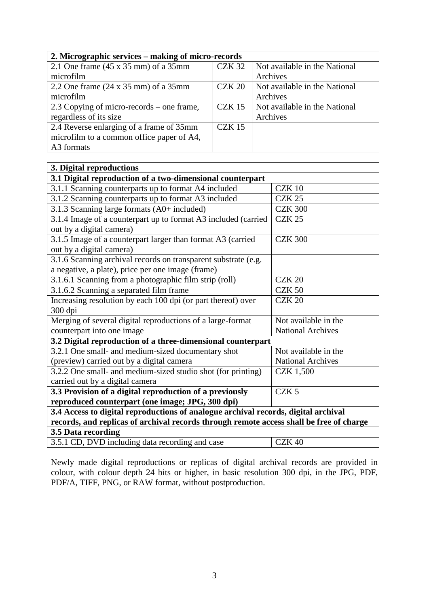| 2. Micrographic services – making of micro-records  |               |                               |
|-----------------------------------------------------|---------------|-------------------------------|
| 2.1 One frame $(45 \times 35 \text{ mm})$ of a 35mm | <b>CZK 32</b> | Not available in the National |
| microfilm                                           |               | Archives                      |
| 2.2 One frame $(24 \times 35 \text{ mm})$ of a 35mm | $CZK$ 20      | Not available in the National |
| microfilm                                           |               | Archives                      |
| 2.3 Copying of micro-records – one frame,           | $CZK$ 15      | Not available in the National |
| regardless of its size                              |               | Archives                      |
| 2.4 Reverse enlarging of a frame of 35mm            | $CZK$ 15      |                               |
| microfilm to a common office paper of A4,           |               |                               |
| A3 formats                                          |               |                               |

| 3. Digital reproductions                                                                |                          |  |
|-----------------------------------------------------------------------------------------|--------------------------|--|
| 3.1 Digital reproduction of a two-dimensional counterpart                               |                          |  |
| 3.1.1 Scanning counterparts up to format A4 included                                    | <b>CZK 10</b>            |  |
| 3.1.2 Scanning counterparts up to format A3 included                                    | <b>CZK 25</b>            |  |
| 3.1.3 Scanning large formats (A0+ included)                                             | <b>CZK 300</b>           |  |
| 3.1.4 Image of a counterpart up to format A3 included (carried                          | <b>CZK 25</b>            |  |
| out by a digital camera)                                                                |                          |  |
| 3.1.5 Image of a counterpart larger than format A3 (carried                             | <b>CZK 300</b>           |  |
| out by a digital camera)                                                                |                          |  |
| 3.1.6 Scanning archival records on transparent substrate (e.g.                          |                          |  |
| a negative, a plate), price per one image (frame)                                       |                          |  |
| 3.1.6.1 Scanning from a photographic film strip (roll)                                  | <b>CZK 20</b>            |  |
| 3.1.6.2 Scanning a separated film frame                                                 | <b>CZK 50</b>            |  |
| Increasing resolution by each 100 dpi (or part thereof) over                            | <b>CZK 20</b>            |  |
| 300 dpi                                                                                 |                          |  |
| Merging of several digital reproductions of a large-format                              | Not available in the     |  |
| counterpart into one image                                                              | <b>National Archives</b> |  |
| 3.2 Digital reproduction of a three-dimensional counterpart                             |                          |  |
| 3.2.1 One small- and medium-sized documentary shot                                      | Not available in the     |  |
| (preview) carried out by a digital camera                                               | <b>National Archives</b> |  |
| 3.2.2 One small- and medium-sized studio shot (for printing)                            | <b>CZK 1,500</b>         |  |
| carried out by a digital camera                                                         |                          |  |
| 3.3 Provision of a digital reproduction of a previously                                 | CZK <sub>5</sub>         |  |
| reproduced counterpart (one image; JPG, 300 dpi)                                        |                          |  |
| 3.4 Access to digital reproductions of analogue archival records, digital archival      |                          |  |
| records, and replicas of archival records through remote access shall be free of charge |                          |  |
| 3.5 Data recording                                                                      |                          |  |
| 3.5.1 CD, DVD including data recording and case                                         | CZK <sub>40</sub>        |  |

Newly made digital reproductions or replicas of digital archival records are provided in colour, with colour depth 24 bits or higher, in basic resolution 300 dpi, in the JPG, PDF, PDF/A, TIFF, PNG, or RAW format, without postproduction.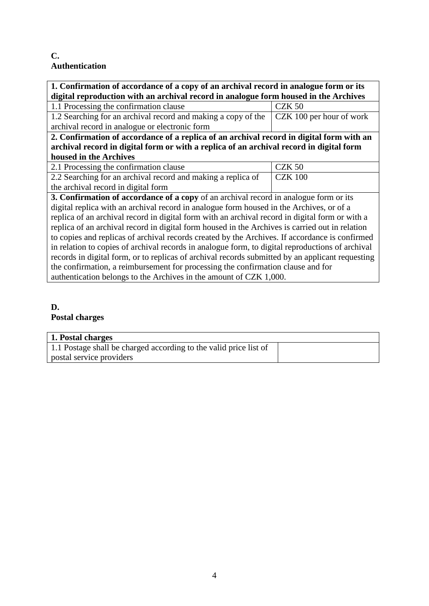# **C. Authentication**

| 1. Confirmation of accordance of a copy of an archival record in analogue form or its            |                          |  |
|--------------------------------------------------------------------------------------------------|--------------------------|--|
| digital reproduction with an archival record in analogue form housed in the Archives             |                          |  |
| 1.1 Processing the confirmation clause                                                           | $CZK$ 50                 |  |
| 1.2 Searching for an archival record and making a copy of the                                    | CZK 100 per hour of work |  |
| archival record in analogue or electronic form                                                   |                          |  |
| 2. Confirmation of accordance of a replica of an archival record in digital form with an         |                          |  |
| archival record in digital form or with a replica of an archival record in digital form          |                          |  |
| housed in the Archives                                                                           |                          |  |
| 2.1 Processing the confirmation clause                                                           | $CZK$ 50                 |  |
| 2.2 Searching for an archival record and making a replica of                                     | <b>CZK 100</b>           |  |
| the archival record in digital form                                                              |                          |  |
| 3. Confirmation of accordance of a copy of an archival record in analogue form or its            |                          |  |
| digital replica with an archival record in analogue form housed in the Archives, or of a         |                          |  |
| replica of an archival record in digital form with an archival record in digital form or with a  |                          |  |
| replica of an archival record in digital form housed in the Archives is carried out in relation  |                          |  |
| to copies and replicas of archival records created by the Archives. If accordance is confirmed   |                          |  |
| in relation to copies of archival records in analogue form, to digital reproductions of archival |                          |  |
| records in digital form, or to replicas of archival records submitted by an applicant requesting |                          |  |
| the confirmation, a reimbursement for processing the confirmation clause and for                 |                          |  |
| authentication belongs to the Archives in the amount of CZK 1,000.                               |                          |  |

# **D.**

# **Postal charges**

| 1. Postal charges                                                 |  |
|-------------------------------------------------------------------|--|
| 1.1 Postage shall be charged according to the valid price list of |  |
| postal service providers                                          |  |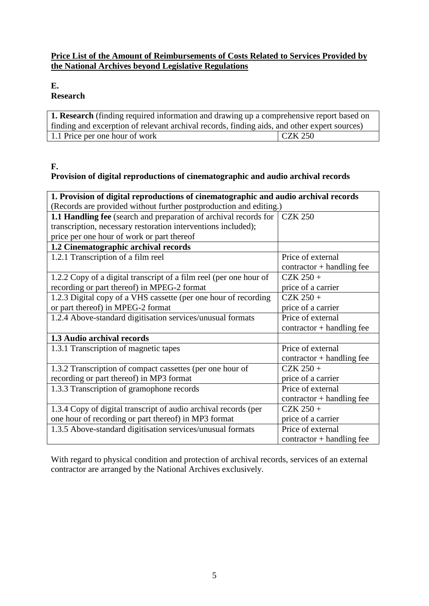# **Price List of the Amount of Reimbursements of Costs Related to Services Provided by the National Archives beyond Legislative Regulations**

## **E.**

# **Research**

| <b>1. Research</b> (finding required information and drawing up a comprehensive report based on |                |  |
|-------------------------------------------------------------------------------------------------|----------------|--|
| finding and excerption of relevant archival records, finding aids, and other expert sources)    |                |  |
| 1.1 Price per one hour of work                                                                  | <b>CZK 250</b> |  |

#### **F.**

# **Provision of digital reproductions of cinematographic and audio archival records**

| 1. Provision of digital reproductions of cinematographic and audio archival records |                             |  |
|-------------------------------------------------------------------------------------|-----------------------------|--|
| (Records are provided without further postproduction and editing.)                  |                             |  |
| <b>1.1 Handling fee</b> (search and preparation of archival records for             | <b>CZK 250</b>              |  |
| transcription, necessary restoration interventions included);                       |                             |  |
| price per one hour of work or part thereof                                          |                             |  |
| 1.2 Cinematographic archival records                                                |                             |  |
| 1.2.1 Transcription of a film reel                                                  | Price of external           |  |
|                                                                                     | $contractor + handling fee$ |  |
| 1.2.2 Copy of a digital transcript of a film reel (per one hour of                  | $CZK 250 +$                 |  |
| recording or part thereof) in MPEG-2 format                                         | price of a carrier          |  |
| 1.2.3 Digital copy of a VHS cassette (per one hour of recording                     | $CZK 250 +$                 |  |
| or part thereof) in MPEG-2 format                                                   | price of a carrier          |  |
| 1.2.4 Above-standard digitisation services/unusual formats                          | Price of external           |  |
|                                                                                     | $contractor + handling fee$ |  |
| 1.3 Audio archival records                                                          |                             |  |
| 1.3.1 Transcription of magnetic tapes                                               | Price of external           |  |
|                                                                                     | $contractor + handling fee$ |  |
| 1.3.2 Transcription of compact cassettes (per one hour of                           | $CZK 250 +$                 |  |
| recording or part thereof) in MP3 format                                            | price of a carrier          |  |
| 1.3.3 Transcription of gramophone records                                           | Price of external           |  |
|                                                                                     | $contractor + handling fee$ |  |
| 1.3.4 Copy of digital transcript of audio archival records (per                     | $CZK 250 +$                 |  |
| one hour of recording or part thereof) in MP3 format                                | price of a carrier          |  |
| 1.3.5 Above-standard digitisation services/unusual formats                          | Price of external           |  |
|                                                                                     | $contractor + handling fee$ |  |

With regard to physical condition and protection of archival records, services of an external contractor are arranged by the National Archives exclusively.